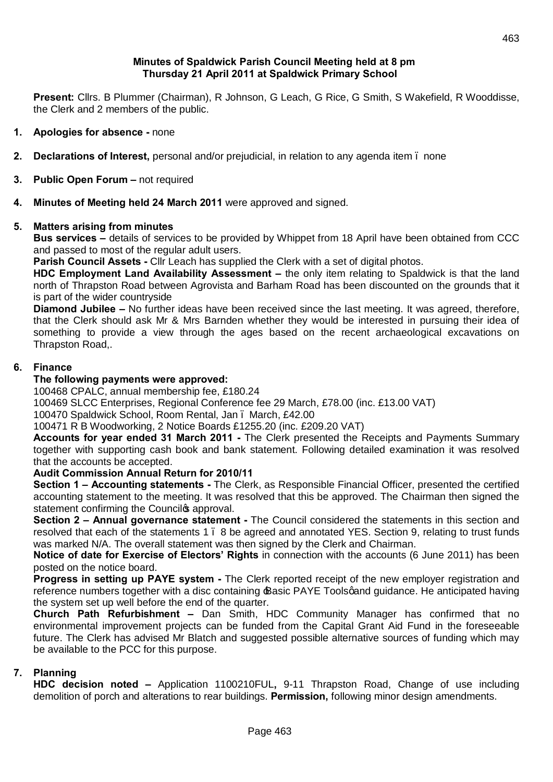### **Minutes of Spaldwick Parish Council Meeting held at 8 pm Thursday 21 April 2011 at Spaldwick Primary School**

**Present:** Cllrs. B Plummer (Chairman), R Johnson, G Leach, G Rice, G Smith, S Wakefield, R Wooddisse, the Clerk and 2 members of the public.

- **1. Apologies for absence -** none
- **2. Declarations of Interest,** personal and/or prejudicial, in relation to any agenda item none
- **3. Public Open Forum -** not required
- **4. Minutes of Meeting held 24 March 2011** were approved and signed.

### **5. Matters arising from minutes**

**Bus services –** details of services to be provided by Whippet from 18 April have been obtained from CCC and passed to most of the regular adult users.

**Parish Council Assets -** Cllr Leach has supplied the Clerk with a set of digital photos.

**HDC Employment Land Availability Assessment –** the only item relating to Spaldwick is that the land north of Thrapston Road between Agrovista and Barham Road has been discounted on the grounds that it is part of the wider countryside

**Diamond Jubilee –** No further ideas have been received since the last meeting. It was agreed, therefore, that the Clerk should ask Mr & Mrs Barnden whether they would be interested in pursuing their idea of something to provide a view through the ages based on the recent archaeological excavations on Thrapston Road,.

### **6. Finance**

### **The following payments were approved:**

100468 CPALC, annual membership fee, £180.24

100469 SLCC Enterprises, Regional Conference fee 29 March, £78.00 (inc. £13.00 VAT)

100470 Spaldwick School, Room Rental, Jan – March, £42.00

100471 R B Woodworking, 2 Notice Boards £1255.20 (inc. £209.20 VAT)

**Accounts for year ended 31 March 2011 -** The Clerk presented the Receipts and Payments Summary together with supporting cash book and bank statement. Following detailed examination it was resolved that the accounts be accepted.

### **Audit Commission Annual Return for 2010/11**

**Section 1 – Accounting statements -** The Clerk, as Responsible Financial Officer, presented the certified accounting statement to the meeting. It was resolved that this be approved. The Chairman then signed the statement confirming the Council<sup>g</sup> approval.

**Section 2 – Annual governance statement -** The Council considered the statements in this section and resolved that each of the statements 1 – 8 be agreed and annotated YES. Section 9, relating to trust funds was marked N/A. The overall statement was then signed by the Clerk and Chairman.

**Notice of date for Exercise of Electors' Rights** in connection with the accounts (6 June 2011) has been posted on the notice board.

**Progress in setting up PAYE system -** The Clerk reported receipt of the new employer registration and reference numbers together with a disc containing Basic PAYE Toolsgand guidance. He anticipated having the system set up well before the end of the quarter.

**Church Path Refurbishment –** Dan Smith, HDC Community Manager has confirmed that no environmental improvement projects can be funded from the Capital Grant Aid Fund in the foreseeable future. The Clerk has advised Mr Blatch and suggested possible alternative sources of funding which may be available to the PCC for this purpose.

# **7. Planning**

**HDC decision noted –** Application 1100210FUL**,** 9-11 Thrapston Road, Change of use including demolition of porch and alterations to rear buildings. **Permission,** following minor design amendments.